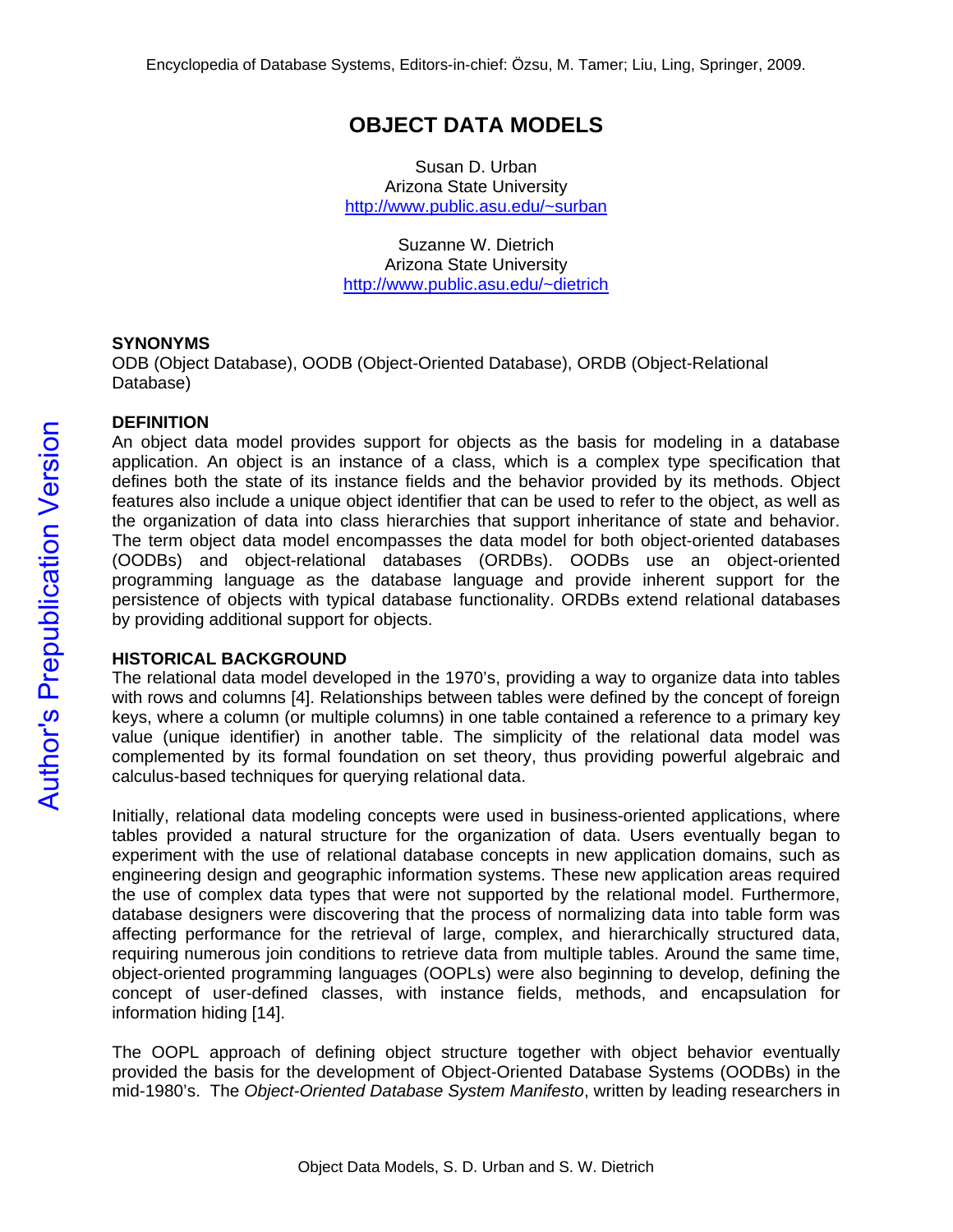# **OBJECT DATA MODELS**

Susan D. Urban Arizona State University http://www.public.asu.edu/~surban

Suzanne W. Dietrich Arizona State University http://www.public.asu.edu/~dietrich

### **SYNONYMS**

ODB (Object Database), OODB (Object-Oriented Database), ORDB (Object-Relational Database)

#### **DEFINITION**

An object data model provides support for objects as the basis for modeling in a database application. An object is an instance of a class, which is a complex type specification that defines both the state of its instance fields and the behavior provided by its methods. Object features also include a unique object identifier that can be used to refer to the object, as well as the organization of data into class hierarchies that support inheritance of state and behavior. The term object data model encompasses the data model for both object-oriented databases (OODBs) and object-relational databases (ORDBs). OODBs use an object-oriented programming language as the database language and provide inherent support for the persistence of objects with typical database functionality. ORDBs extend relational databases by providing additional support for objects.

### **HISTORICAL BACKGROUND**

The relational data model developed in the 1970's, providing a way to organize data into tables with rows and columns [4]. Relationships between tables were defined by the concept of foreign keys, where a column (or multiple columns) in one table contained a reference to a primary key value (unique identifier) in another table. The simplicity of the relational data model was complemented by its formal foundation on set theory, thus providing powerful algebraic and calculus-based techniques for querying relational data.

Initially, relational data modeling concepts were used in business-oriented applications, where tables provided a natural structure for the organization of data. Users eventually began to experiment with the use of relational database concepts in new application domains, such as engineering design and geographic information systems. These new application areas required the use of complex data types that were not supported by the relational model. Furthermore, database designers were discovering that the process of normalizing data into table form was affecting performance for the retrieval of large, complex, and hierarchically structured data, requiring numerous join conditions to retrieve data from multiple tables. Around the same time, object-oriented programming languages (OOPLs) were also beginning to develop, defining the concept of user-defined classes, with instance fields, methods, and encapsulation for information hiding [14].

The OOPL approach of defining object structure together with object behavior eventually provided the basis for the development of Object-Oriented Database Systems (OODBs) in the mid-1980's. The *Object-Oriented Database System Manifesto*, written by leading researchers in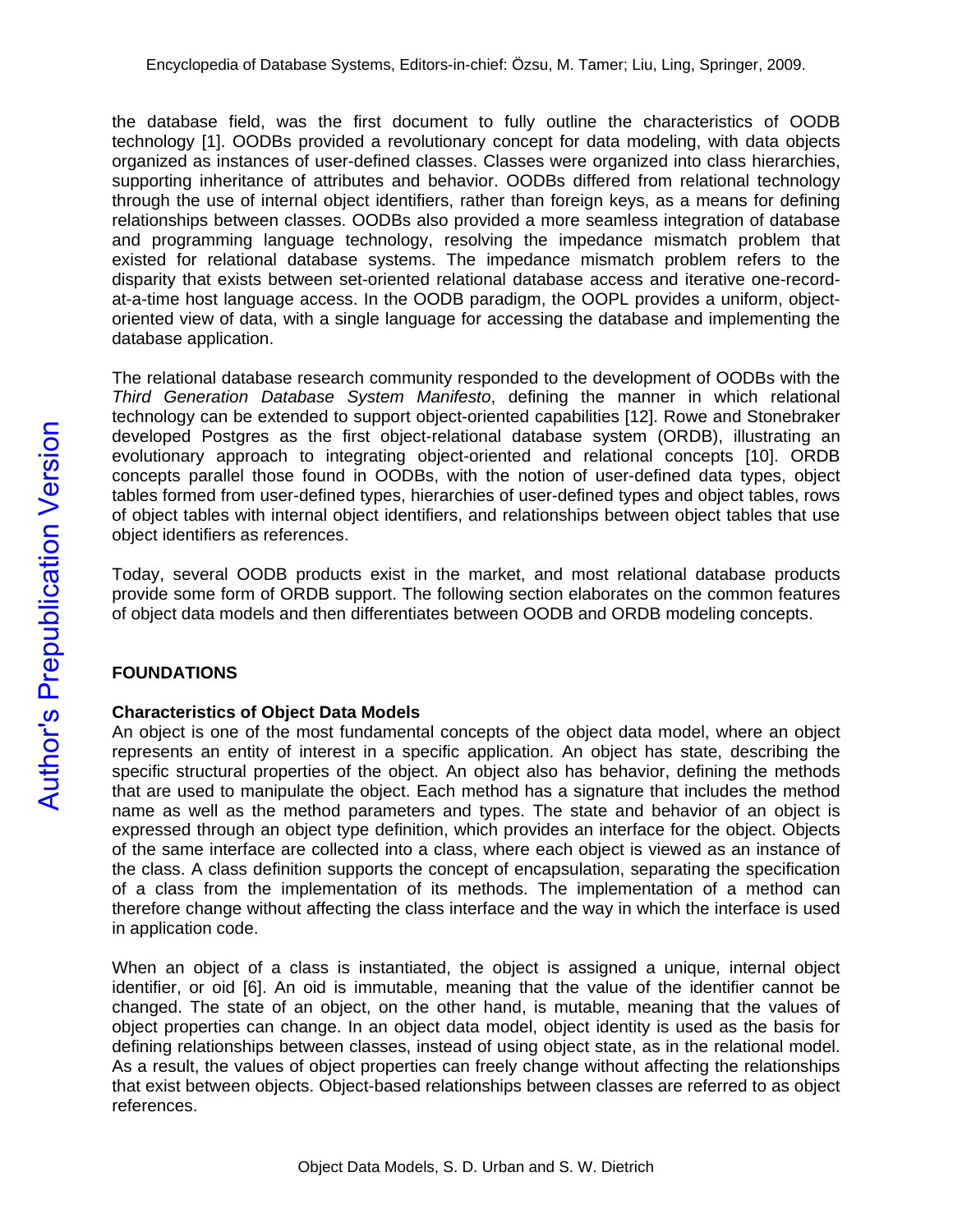the database field, was the first document to fully outline the characteristics of OODB technology [1]. OODBs provided a revolutionary concept for data modeling, with data objects organized as instances of user-defined classes. Classes were organized into class hierarchies, supporting inheritance of attributes and behavior. OODBs differed from relational technology through the use of internal object identifiers, rather than foreign keys, as a means for defining relationships between classes. OODBs also provided a more seamless integration of database and programming language technology, resolving the impedance mismatch problem that existed for relational database systems. The impedance mismatch problem refers to the disparity that exists between set-oriented relational database access and iterative one-recordat-a-time host language access. In the OODB paradigm, the OOPL provides a uniform, objectoriented view of data, with a single language for accessing the database and implementing the database application.

The relational database research community responded to the development of OODBs with the *Third Generation Database System Manifesto*, defining the manner in which relational technology can be extended to support object-oriented capabilities [12]. Rowe and Stonebraker developed Postgres as the first object-relational database system (ORDB), illustrating an evolutionary approach to integrating object-oriented and relational concepts [10]. ORDB concepts parallel those found in OODBs, with the notion of user-defined data types, object tables formed from user-defined types, hierarchies of user-defined types and object tables, rows of object tables with internal object identifiers, and relationships between object tables that use object identifiers as references.

Today, several OODB products exist in the market, and most relational database products provide some form of ORDB support. The following section elaborates on the common features of object data models and then differentiates between OODB and ORDB modeling concepts.

## **FOUNDATIONS**

### **Characteristics of Object Data Models**

An object is one of the most fundamental concepts of the object data model, where an object represents an entity of interest in a specific application. An object has state, describing the specific structural properties of the object. An object also has behavior, defining the methods that are used to manipulate the object. Each method has a signature that includes the method name as well as the method parameters and types. The state and behavior of an object is expressed through an object type definition, which provides an interface for the object. Objects of the same interface are collected into a class, where each object is viewed as an instance of the class. A class definition supports the concept of encapsulation, separating the specification of a class from the implementation of its methods. The implementation of a method can therefore change without affecting the class interface and the way in which the interface is used in application code.

When an object of a class is instantiated, the object is assigned a unique, internal object identifier, or oid [6]. An oid is immutable, meaning that the value of the identifier cannot be changed. The state of an object, on the other hand, is mutable, meaning that the values of object properties can change. In an object data model, object identity is used as the basis for defining relationships between classes, instead of using object state, as in the relational model. As a result, the values of object properties can freely change without affecting the relationships that exist between objects. Object-based relationships between classes are referred to as object references.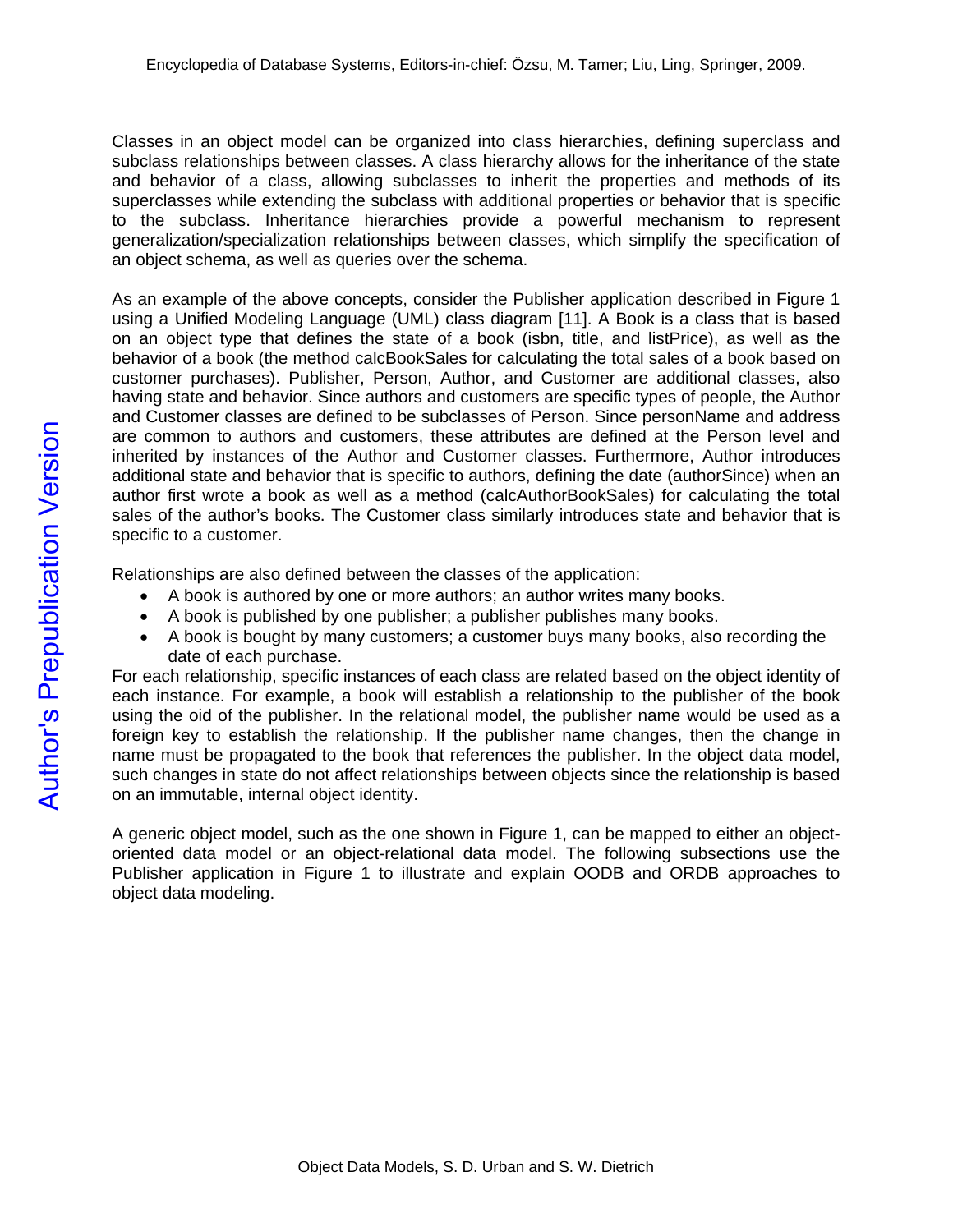Classes in an object model can be organized into class hierarchies, defining superclass and subclass relationships between classes. A class hierarchy allows for the inheritance of the state and behavior of a class, allowing subclasses to inherit the properties and methods of its superclasses while extending the subclass with additional properties or behavior that is specific to the subclass. Inheritance hierarchies provide a powerful mechanism to represent generalization/specialization relationships between classes, which simplify the specification of an object schema, as well as queries over the schema.

As an example of the above concepts, consider the Publisher application described in Figure 1 using a Unified Modeling Language (UML) class diagram [11]. A Book is a class that is based on an object type that defines the state of a book (isbn, title, and listPrice), as well as the behavior of a book (the method calcBookSales for calculating the total sales of a book based on customer purchases). Publisher, Person, Author, and Customer are additional classes, also having state and behavior. Since authors and customers are specific types of people, the Author and Customer classes are defined to be subclasses of Person. Since personName and address are common to authors and customers, these attributes are defined at the Person level and inherited by instances of the Author and Customer classes. Furthermore, Author introduces additional state and behavior that is specific to authors, defining the date (authorSince) when an author first wrote a book as well as a method (calcAuthorBookSales) for calculating the total sales of the author's books. The Customer class similarly introduces state and behavior that is specific to a customer.

Relationships are also defined between the classes of the application:

- A book is authored by one or more authors; an author writes many books.
- A book is published by one publisher; a publisher publishes many books.
- A book is bought by many customers; a customer buys many books, also recording the date of each purchase.

For each relationship, specific instances of each class are related based on the object identity of each instance. For example, a book will establish a relationship to the publisher of the book using the oid of the publisher. In the relational model, the publisher name would be used as a foreign key to establish the relationship. If the publisher name changes, then the change in name must be propagated to the book that references the publisher. In the object data model, such changes in state do not affect relationships between objects since the relationship is based on an immutable, internal object identity.

A generic object model, such as the one shown in Figure 1, can be mapped to either an objectoriented data model or an object-relational data model. The following subsections use the Publisher application in Figure 1 to illustrate and explain OODB and ORDB approaches to object data modeling.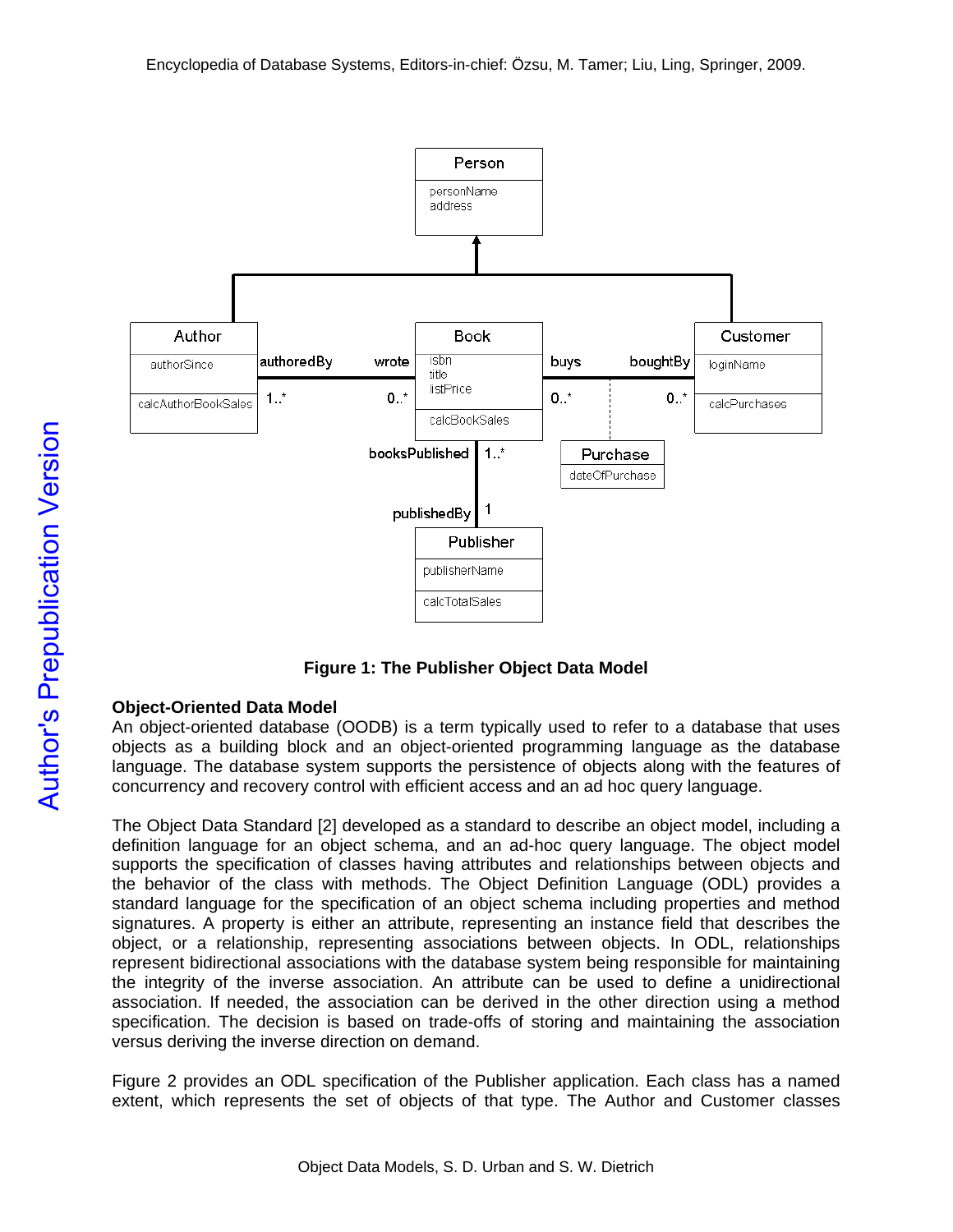

**Figure 1: The Publisher Object Data Model** 

### **Object-Oriented Data Model**

An object-oriented database (OODB) is a term typically used to refer to a database that uses objects as a building block and an object-oriented programming language as the database language. The database system supports the persistence of objects along with the features of concurrency and recovery control with efficient access and an ad hoc query language.

The Object Data Standard [2] developed as a standard to describe an object model, including a definition language for an object schema, and an ad-hoc query language. The object model supports the specification of classes having attributes and relationships between objects and the behavior of the class with methods. The Object Definition Language (ODL) provides a standard language for the specification of an object schema including properties and method signatures. A property is either an attribute, representing an instance field that describes the object, or a relationship, representing associations between objects. In ODL, relationships represent bidirectional associations with the database system being responsible for maintaining the integrity of the inverse association. An attribute can be used to define a unidirectional association. If needed, the association can be derived in the other direction using a method specification. The decision is based on trade-offs of storing and maintaining the association versus deriving the inverse direction on demand.

Figure 2 provides an ODL specification of the Publisher application. Each class has a named extent, which represents the set of objects of that type. The Author and Customer classes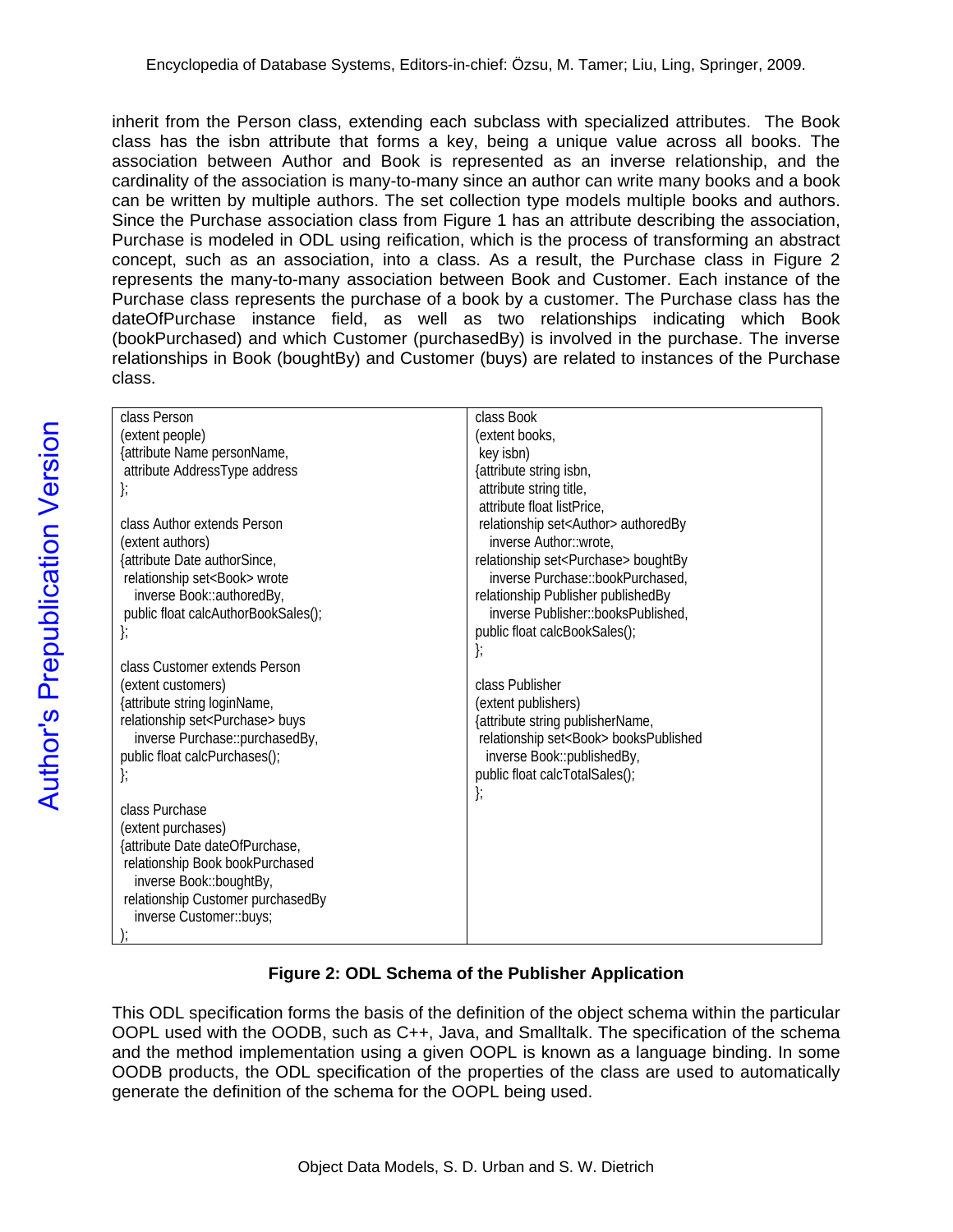inherit from the Person class, extending each subclass with specialized attributes. The Book class has the isbn attribute that forms a key, being a unique value across all books. The association between Author and Book is represented as an inverse relationship, and the cardinality of the association is many-to-many since an author can write many books and a book can be written by multiple authors. The set collection type models multiple books and authors. Since the Purchase association class from Figure 1 has an attribute describing the association, Purchase is modeled in ODL using reification, which is the process of transforming an abstract concept, such as an association, into a class. As a result, the Purchase class in Figure 2 represents the many-to-many association between Book and Customer. Each instance of the Purchase class represents the purchase of a book by a customer. The Purchase class has the dateOfPurchase instance field, as well as two relationships indicating which Book (bookPurchased) and which Customer (purchasedBy) is involved in the purchase. The inverse relationships in Book (boughtBy) and Customer (buys) are related to instances of the Purchase class.

| class Person                                | class Book                                      |
|---------------------------------------------|-------------------------------------------------|
| (extent people)                             | (extent books,                                  |
| {attribute Name personName,                 | key isbn)                                       |
| attribute AddressType address               | {attribute string isbn,                         |
| };                                          | attribute string title,                         |
|                                             | attribute float listPrice,                      |
| class Author extends Person                 | relationship set <author> authoredBy</author>   |
| (extent authors)                            | inverse Author::wrote,                          |
| {attribute Date authorSince,                | relationship set <purchase> boughtBy</purchase> |
| relationship set <book> wrote</book>        | inverse Purchase::bookPurchased,                |
| inverse Book::authoredBy,                   | relationship Publisher publishedBy              |
| public float calcAuthorBookSales();         | inverse Publisher::booksPublished.              |
|                                             | public float calcBookSales();                   |
|                                             | ₿;                                              |
| class Customer extends Person               |                                                 |
| (extent customers)                          | class Publisher                                 |
| {attribute string loginName,                | (extent publishers)                             |
| relationship set <purchase> buys</purchase> | {attribute string publisherName,                |
| inverse Purchase::purchasedBy,              | relationship set <book> booksPublished</book>   |
| public float calcPurchases();               | inverse Book::publishedBy,                      |
|                                             | public float calcTotalSales();                  |
|                                             | };                                              |
| class Purchase                              |                                                 |
| (extent purchases)                          |                                                 |
| {attribute Date dateOfPurchase,             |                                                 |
| relationship Book bookPurchased             |                                                 |
| inverse Book::boughtBy,                     |                                                 |
| relationship Customer purchasedBy           |                                                 |
| inverse Customer::buys;                     |                                                 |
|                                             |                                                 |

### **Figure 2: ODL Schema of the Publisher Application**

This ODL specification forms the basis of the definition of the object schema within the particular OOPL used with the OODB, such as C++, Java, and Smalltalk. The specification of the schema and the method implementation using a given OOPL is known as a language binding. In some OODB products, the ODL specification of the properties of the class are used to automatically generate the definition of the schema for the OOPL being used.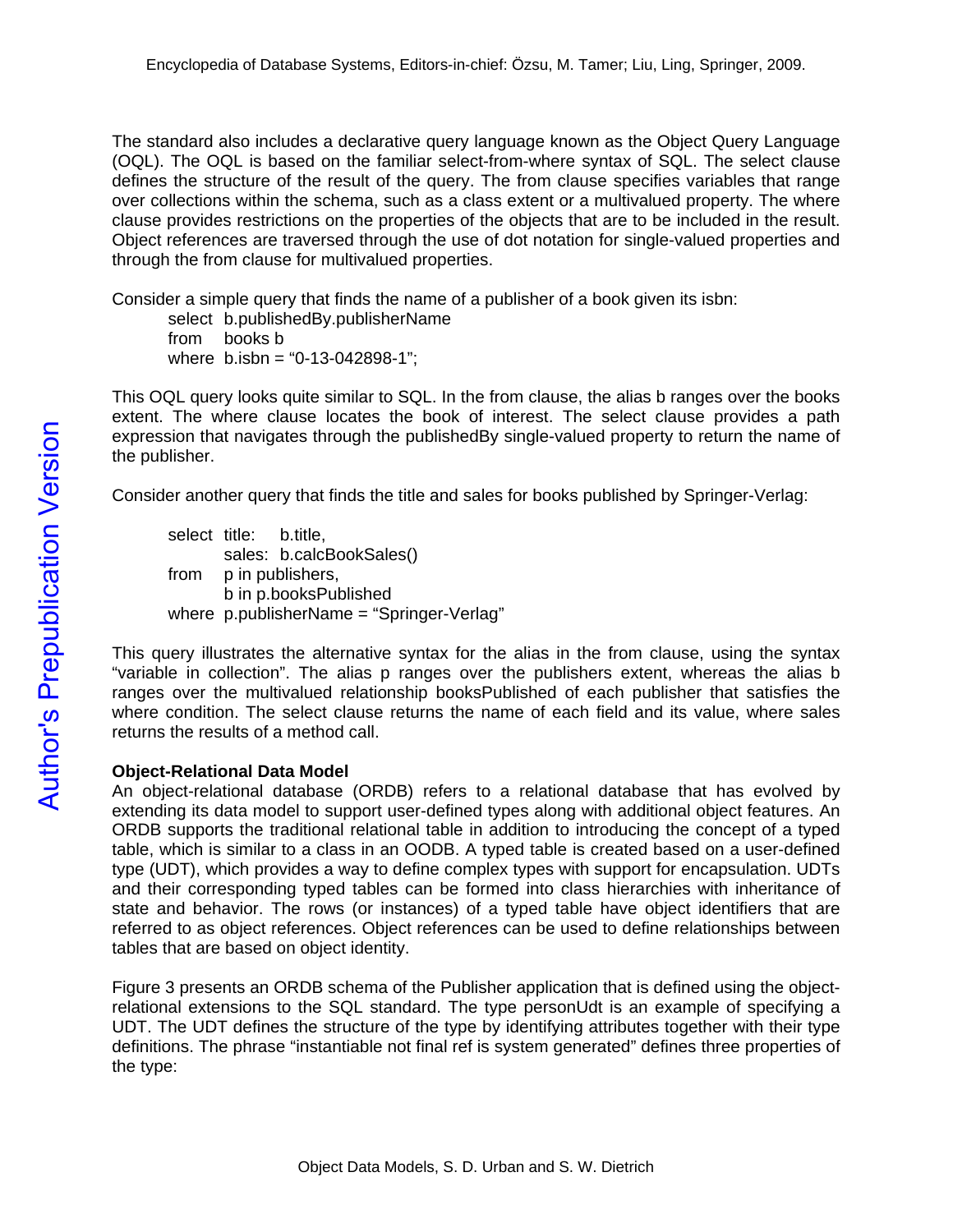The standard also includes a declarative query language known as the Object Query Language (OQL). The OQL is based on the familiar select-from-where syntax of SQL. The select clause defines the structure of the result of the query. The from clause specifies variables that range over collections within the schema, such as a class extent or a multivalued property. The where clause provides restrictions on the properties of the objects that are to be included in the result. Object references are traversed through the use of dot notation for single-valued properties and through the from clause for multivalued properties.

Consider a simple query that finds the name of a publisher of a book given its isbn:

 select b.publishedBy.publisherName from books b where b.isbn = "0-13-042898-1";

This OQL query looks quite similar to SQL. In the from clause, the alias b ranges over the books extent. The where clause locates the book of interest. The select clause provides a path expression that navigates through the publishedBy single-valued property to return the name of the publisher.

Consider another query that finds the title and sales for books published by Springer-Verlag:

 select title: b.title, sales: b.calcBookSales() from p in publishers, b in p.booksPublished where p.publisherName = "Springer-Verlag"

This query illustrates the alternative syntax for the alias in the from clause, using the syntax "variable in collection". The alias p ranges over the publishers extent, whereas the alias b ranges over the multivalued relationship booksPublished of each publisher that satisfies the where condition. The select clause returns the name of each field and its value, where sales returns the results of a method call.

### **Object-Relational Data Model**

An object-relational database (ORDB) refers to a relational database that has evolved by extending its data model to support user-defined types along with additional object features. An ORDB supports the traditional relational table in addition to introducing the concept of a typed table, which is similar to a class in an OODB. A typed table is created based on a user-defined type (UDT), which provides a way to define complex types with support for encapsulation. UDTs and their corresponding typed tables can be formed into class hierarchies with inheritance of state and behavior. The rows (or instances) of a typed table have object identifiers that are referred to as object references. Object references can be used to define relationships between tables that are based on object identity.

Figure 3 presents an ORDB schema of the Publisher application that is defined using the objectrelational extensions to the SQL standard. The type personUdt is an example of specifying a UDT. The UDT defines the structure of the type by identifying attributes together with their type definitions. The phrase "instantiable not final ref is system generated" defines three properties of the type: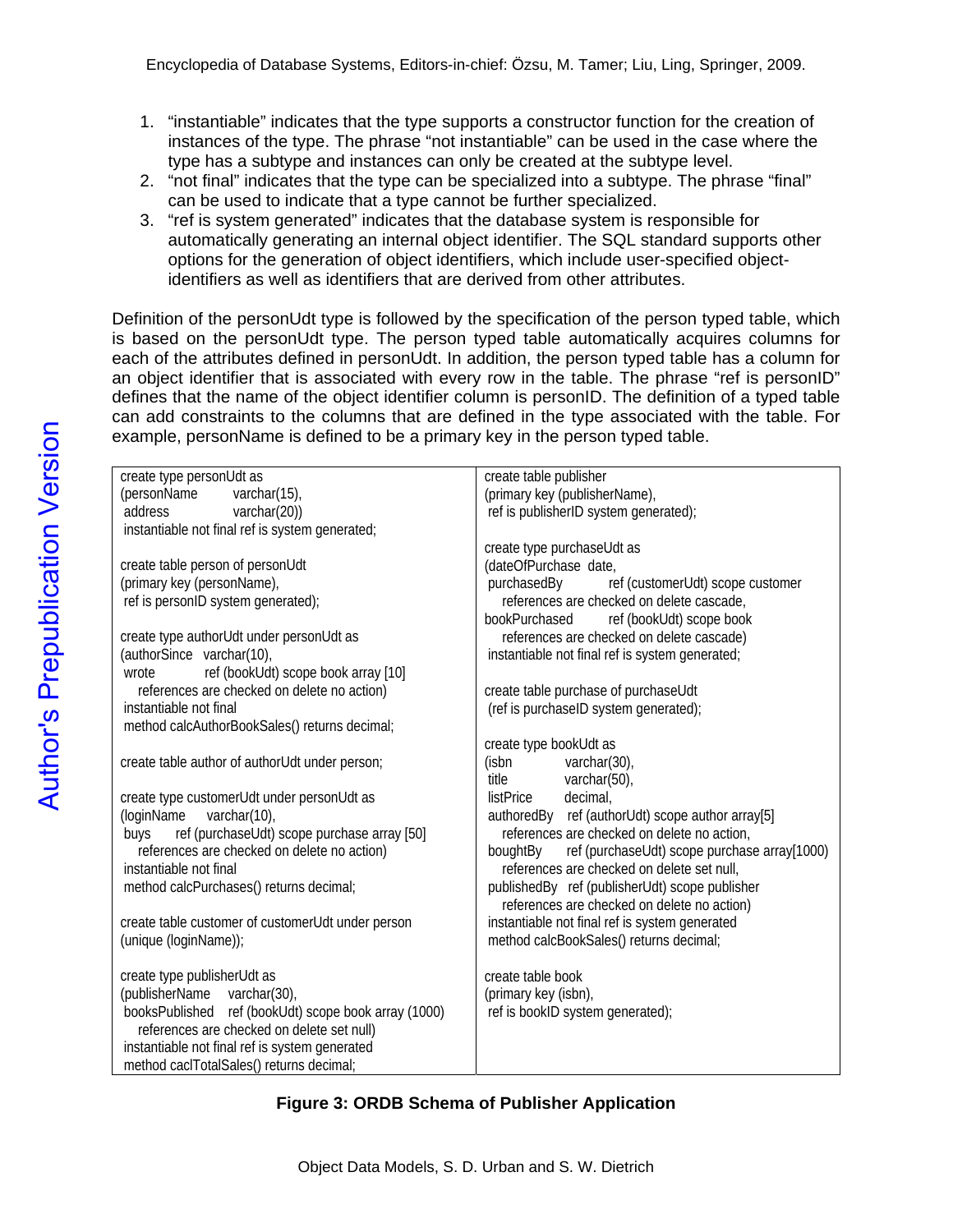- 1. "instantiable" indicates that the type supports a constructor function for the creation of instances of the type. The phrase "not instantiable" can be used in the case where the type has a subtype and instances can only be created at the subtype level.
- 2. "not final" indicates that the type can be specialized into a subtype. The phrase "final" can be used to indicate that a type cannot be further specialized.
- 3. "ref is system generated" indicates that the database system is responsible for automatically generating an internal object identifier. The SQL standard supports other options for the generation of object identifiers, which include user-specified objectidentifiers as well as identifiers that are derived from other attributes.

Definition of the personUdt type is followed by the specification of the person typed table, which is based on the personUdt type. The person typed table automatically acquires columns for each of the attributes defined in personUdt. In addition, the person typed table has a column for an object identifier that is associated with every row in the table. The phrase "ref is personID" defines that the name of the object identifier column is personID. The definition of a typed table can add constraints to the columns that are defined in the type associated with the table. For example, personName is defined to be a primary key in the person typed table.

| create type personUdt as                             | create table publisher                                   |
|------------------------------------------------------|----------------------------------------------------------|
| (personName<br>varchar(15),                          | (primary key (publisherName),                            |
| varchar(20))<br>address                              | ref is publisherID system generated);                    |
| instantiable not final ref is system generated;      |                                                          |
|                                                      | create type purchaseUdt as                               |
| create table person of personUdt                     | (dateOfPurchase date,                                    |
| (primary key (personName),                           | purchasedBy<br>ref (customerUdt) scope customer          |
| ref is personID system generated);                   | references are checked on delete cascade,                |
|                                                      | ref (bookUdt) scope book<br>bookPurchased                |
| create type authorUdt under personUdt as             | references are checked on delete cascade)                |
| (authorSince varchar(10),                            | instantiable not final ref is system generated;          |
| ref (bookUdt) scope book array [10]<br>wrote         |                                                          |
| references are checked on delete no action)          | create table purchase of purchaseUdt                     |
| instantiable not final                               | (ref is purchaseID system generated);                    |
| method calcAuthorBookSales() returns decimal;        |                                                          |
|                                                      | create type bookUdt as                                   |
| create table author of authorUdt under person;       | (isbn<br>varchar(30),                                    |
|                                                      | title<br>varchar(50),                                    |
| create type customerUdt under personUdt as           | decimal,<br>listPrice                                    |
| varchar(10),<br>(loginName                           | authoredBy ref (authorUdt) scope author array[5]         |
| buys ref (purchaseUdt) scope purchase array [50]     | references are checked on delete no action,              |
| references are checked on delete no action)          | ref (purchaseUdt) scope purchase array[1000)<br>boughtBy |
| instantiable not final                               | references are checked on delete set null,               |
| method calcPurchases() returns decimal;              | publishedBy ref (publisherUdt) scope publisher           |
|                                                      | references are checked on delete no action)              |
| create table customer of customerUdt under person    | instantiable not final ref is system generated           |
| (unique (loginName));                                | method calcBookSales() returns decimal;                  |
|                                                      |                                                          |
| create type publisherUdt as                          | create table book                                        |
| (publisherName varchar(30),                          | (primary key (isbn),                                     |
| booksPublished ref (bookUdt) scope book array (1000) | ref is bookID system generated);                         |
| references are checked on delete set null)           |                                                          |
| instantiable not final ref is system generated       |                                                          |
| method caclTotalSales() returns decimal;             |                                                          |

## **Figure 3: ORDB Schema of Publisher Application**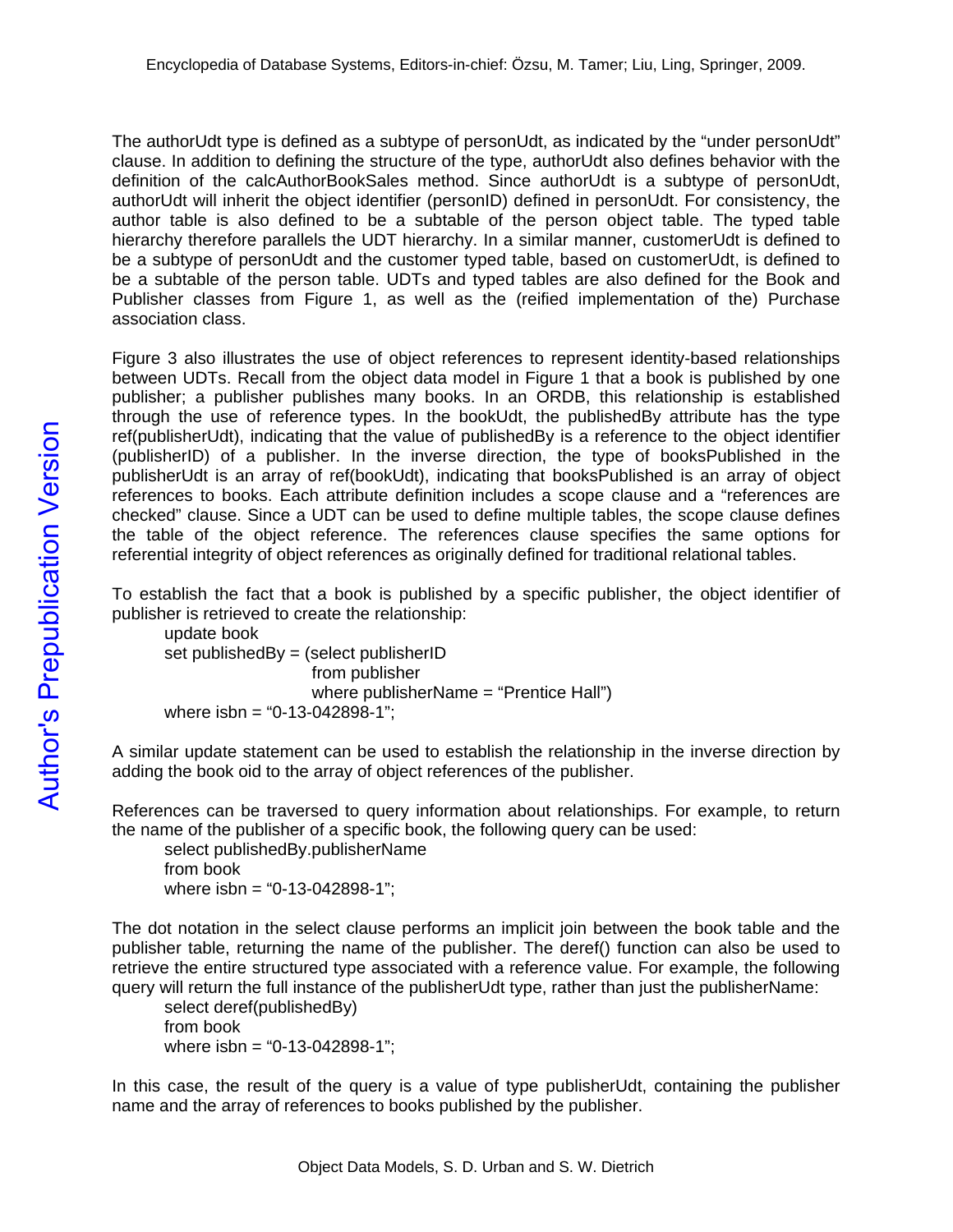The authorUdt type is defined as a subtype of personUdt, as indicated by the "under personUdt" clause. In addition to defining the structure of the type, authorUdt also defines behavior with the definition of the calcAuthorBookSales method. Since authorUdt is a subtype of personUdt, authorUdt will inherit the object identifier (personID) defined in personUdt. For consistency, the author table is also defined to be a subtable of the person object table. The typed table hierarchy therefore parallels the UDT hierarchy. In a similar manner, customerUdt is defined to be a subtype of personUdt and the customer typed table, based on customerUdt, is defined to be a subtable of the person table. UDTs and typed tables are also defined for the Book and Publisher classes from Figure 1, as well as the (reified implementation of the) Purchase association class.

Figure 3 also illustrates the use of object references to represent identity-based relationships between UDTs. Recall from the object data model in Figure 1 that a book is published by one publisher; a publisher publishes many books. In an ORDB, this relationship is established through the use of reference types. In the bookUdt, the publishedBy attribute has the type ref(publisherUdt), indicating that the value of publishedBy is a reference to the object identifier (publisherID) of a publisher. In the inverse direction, the type of booksPublished in the publisherUdt is an array of ref(bookUdt), indicating that booksPublished is an array of object references to books. Each attribute definition includes a scope clause and a "references are checked" clause. Since a UDT can be used to define multiple tables, the scope clause defines the table of the object reference. The references clause specifies the same options for referential integrity of object references as originally defined for traditional relational tables.

To establish the fact that a book is published by a specific publisher, the object identifier of publisher is retrieved to create the relationship:

 update book set publishedBy = (select publisherID from publisher where publisherName = "Prentice Hall") where isbn = "0-13-042898-1";

A similar update statement can be used to establish the relationship in the inverse direction by adding the book oid to the array of object references of the publisher.

References can be traversed to query information about relationships. For example, to return the name of the publisher of a specific book, the following query can be used:

 select publishedBy.publisherName from book where isbn = "0-13-042898-1";

The dot notation in the select clause performs an implicit join between the book table and the publisher table, returning the name of the publisher. The deref() function can also be used to retrieve the entire structured type associated with a reference value. For example, the following query will return the full instance of the publisherUdt type, rather than just the publisherName:

 select deref(publishedBy) from book

where isbn = "0-13-042898-1";

In this case, the result of the query is a value of type publisherUdt, containing the publisher name and the array of references to books published by the publisher.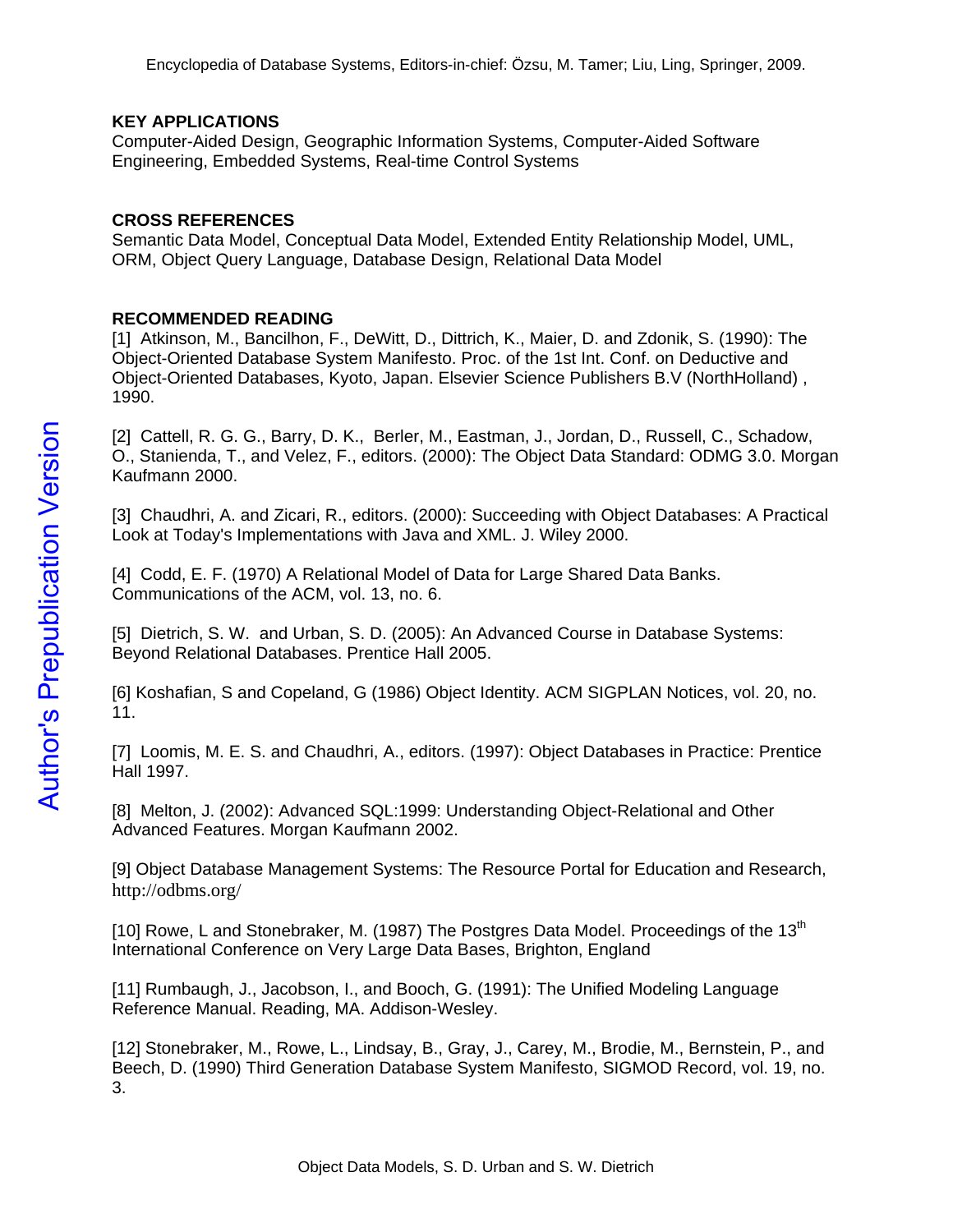### **KEY APPLICATIONS**

Computer-Aided Design, Geographic Information Systems, Computer-Aided Software Engineering, Embedded Systems, Real-time Control Systems

### **CROSS REFERENCES**

Semantic Data Model, Conceptual Data Model, Extended Entity Relationship Model, UML, ORM, Object Query Language, Database Design, Relational Data Model

### **RECOMMENDED READING**

[1] Atkinson, M., Bancilhon, F., DeWitt, D., Dittrich, K., Maier, D. and Zdonik, S. (1990): The Object-Oriented Database System Manifesto. Proc. of the 1st Int. Conf. on Deductive and Object-Oriented Databases, Kyoto, Japan. Elsevier Science Publishers B.V (NorthHolland) , 1990.

[2] Cattell, R. G. G., Barry, D. K., Berler, M., Eastman, J., Jordan, D., Russell, C., Schadow, O., Stanienda, T., and Velez, F., editors. (2000): The Object Data Standard: ODMG 3.0. Morgan Kaufmann 2000.

[3] Chaudhri, A. and Zicari, R., editors. (2000): Succeeding with Object Databases: A Practical Look at Today's Implementations with Java and XML. J. Wiley 2000.

[4] Codd, E. F. (1970) A Relational Model of Data for Large Shared Data Banks. Communications of the ACM, vol. 13, no. 6.

[5] Dietrich, S. W. and Urban, S. D. (2005): An Advanced Course in Database Systems: Beyond Relational Databases. Prentice Hall 2005.

[6] Koshafian, S and Copeland, G (1986) Object Identity. ACM SIGPLAN Notices, vol. 20, no. 11.

[7] Loomis, M. E. S. and Chaudhri, A., editors. (1997): Object Databases in Practice: Prentice Hall 1997.

[8] Melton, J. (2002): Advanced SQL:1999: Understanding Object-Relational and Other Advanced Features. Morgan Kaufmann 2002.

[9] Object Database Management Systems: The Resource Portal for Education and Research, http://odbms.org/

[10] Rowe, L and Stonebraker, M. (1987) The Postgres Data Model. Proceedings of the  $13<sup>th</sup>$ International Conference on Very Large Data Bases, Brighton, England

[11] Rumbaugh, J., Jacobson, I., and Booch, G. (1991): The Unified Modeling Language Reference Manual. Reading, MA. Addison-Wesley.

[12] Stonebraker, M., Rowe, L., Lindsay, B., Gray, J., Carey, M., Brodie, M., Bernstein, P., and Beech, D. (1990) Third Generation Database System Manifesto, SIGMOD Record, vol. 19, no. 3.